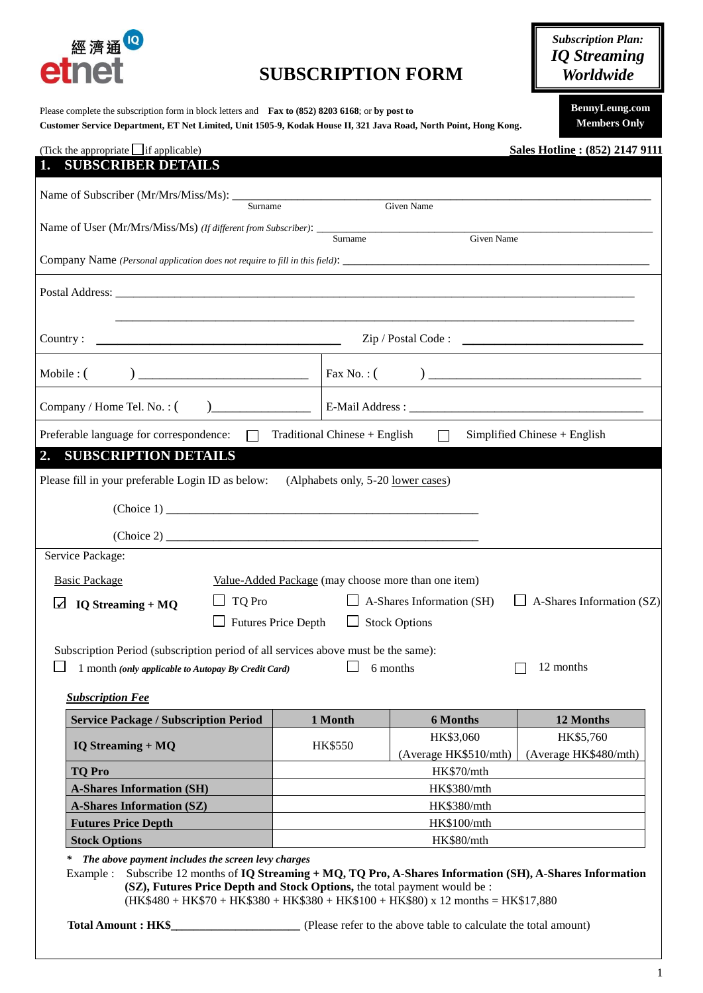

## **SUBSCRIPTION FORM**

Please complete the subscription form in block letters and **Fax to (852) 8203 6168**; or **by post to**

**Customer Service Department, ET Net Limited, Unit 1505-9, Kodak House II, 321 Java Road, North Point, Hong Kong.**

*Subscription Plan: IQ Streaming Worldwide*

> **BennyLeung.com Members Only**

| (Tick the appropriate $\Box$ if applicable)<br><b>SUBSCRIBER DETAILS</b>                                                                                                                                                                                                                                                                                                  |                                                                                                                           |                                                                 | Sales Hotline: (852) 2147 9111                |
|---------------------------------------------------------------------------------------------------------------------------------------------------------------------------------------------------------------------------------------------------------------------------------------------------------------------------------------------------------------------------|---------------------------------------------------------------------------------------------------------------------------|-----------------------------------------------------------------|-----------------------------------------------|
|                                                                                                                                                                                                                                                                                                                                                                           |                                                                                                                           |                                                                 |                                               |
| Surname                                                                                                                                                                                                                                                                                                                                                                   |                                                                                                                           | Given Name                                                      |                                               |
|                                                                                                                                                                                                                                                                                                                                                                           |                                                                                                                           | Given Name                                                      |                                               |
|                                                                                                                                                                                                                                                                                                                                                                           |                                                                                                                           |                                                                 |                                               |
|                                                                                                                                                                                                                                                                                                                                                                           |                                                                                                                           |                                                                 |                                               |
| Country:                                                                                                                                                                                                                                                                                                                                                                  |                                                                                                                           |                                                                 |                                               |
|                                                                                                                                                                                                                                                                                                                                                                           |                                                                                                                           |                                                                 |                                               |
|                                                                                                                                                                                                                                                                                                                                                                           |                                                                                                                           |                                                                 |                                               |
| Preferable language for correspondence:                                                                                                                                                                                                                                                                                                                                   | $\Box$ Traditional Chinese + English                                                                                      | $\Box$                                                          | Simplified Chinese $+$ English                |
| Please fill in your preferable Login ID as below:<br>(Choice 2)<br>Service Package:<br><b>Basic Package</b><br>$\Box$ TQ Pro<br>$IQ$ Streaming + $MQ$<br>$\Box$ Futures Price Depth<br>Subscription Period (subscription period of all services above must be the same):<br>1 month (only applicable to Autopay By Credit Card)                                           | (Alphabets only, 5-20 <u>lower cases</u> )<br>Value-Added Package (may choose more than one item)<br>$\Box$ Stock Options | $\Box$ A-Shares Information (SH)<br>6 months                    | $\Box$ A-Shares Information (SZ)<br>12 months |
| <b>Subscription Fee</b><br><b>Service Package / Subscription Period</b>                                                                                                                                                                                                                                                                                                   | 1 Month                                                                                                                   | <b>6 Months</b>                                                 | 12 Months                                     |
| <b>IQ Streaming + MQ</b>                                                                                                                                                                                                                                                                                                                                                  | <b>HK\$550</b>                                                                                                            | HK\$3,060<br>(Average HK\$510/mth)                              | HK\$5,760<br>(Average HK\$480/mth)            |
| <b>TQ Pro</b>                                                                                                                                                                                                                                                                                                                                                             | HK\$70/mth                                                                                                                |                                                                 |                                               |
| <b>A-Shares Information (SH)</b>                                                                                                                                                                                                                                                                                                                                          | HK\$380/mth                                                                                                               |                                                                 |                                               |
| <b>A-Shares Information (SZ)</b>                                                                                                                                                                                                                                                                                                                                          | HK\$380/mth                                                                                                               |                                                                 |                                               |
| <b>Futures Price Depth</b><br><b>Stock Options</b>                                                                                                                                                                                                                                                                                                                        | HK\$100/mth<br>HK\$80/mth                                                                                                 |                                                                 |                                               |
| The above payment includes the screen levy charges<br>$\ast$<br>Subscribe 12 months of $IQ$ Streaming + $MQ$ , $TQ$ Pro, A-Shares Information (SH), A-Shares Information<br>Example :<br>(SZ), Futures Price Depth and Stock Options, the total payment would be :<br>$(HK$480 + HK$70 + HK$380 + HK$380 + HK$100 + HK$80) x 12 months = HK$17,880$<br>Total Amount: HK\$ |                                                                                                                           | (Please refer to the above table to calculate the total amount) |                                               |

1